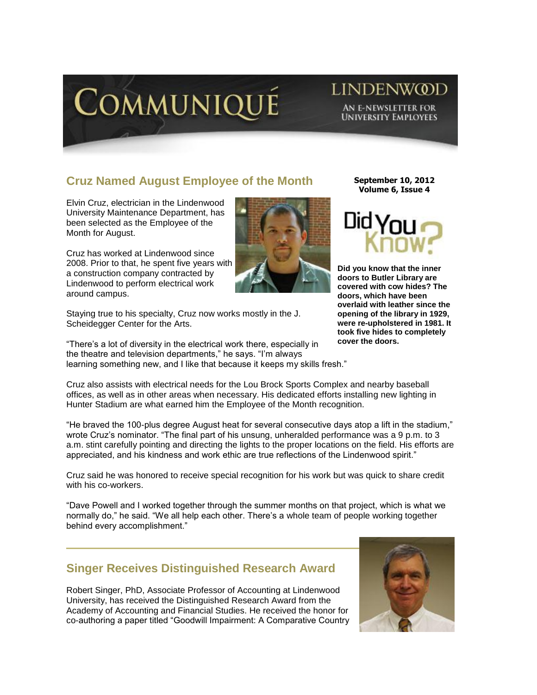

## LINDENW@D AN E-NEWSLETTER FOR **UNIVERSITY EMPLOYEES**

# **Cruz Named August Employee of the Month**

Elvin Cruz, electrician in the Lindenwood University Maintenance Department, has been selected as the Employee of the Month for August.

Cruz has worked at Lindenwood since 2008. Prior to that, he spent five years with a construction company contracted by Lindenwood to perform electrical work around campus.

Staying true to his specialty, Cruz now works mostly in the J. Scheidegger Center for the Arts.

"There's a lot of diversity in the electrical work there, especially in the theatre and television departments," he says. "I'm always learning something new, and I like that because it keeps my skills fresh."

**September 10, 2012 Volume 6, Issue 4**



**Did you know that the inner doors to Butler Library are covered with cow hides? The doors, which have been overlaid with leather since the opening of the library in 1929, were re-upholstered in 1981. It took five hides to completely cover the doors.**

Cruz also assists with electrical needs for the Lou Brock Sports Complex and nearby baseball offices, as well as in other areas when necessary. His dedicated efforts installing new lighting in Hunter Stadium are what earned him the Employee of the Month recognition.

"He braved the 100-plus degree August heat for several consecutive days atop a lift in the stadium," wrote Cruz's nominator. "The final part of his unsung, unheralded performance was a 9 p.m. to 3 a.m. stint carefully pointing and directing the lights to the proper locations on the field. His efforts are appreciated, and his kindness and work ethic are true reflections of the Lindenwood spirit."

Cruz said he was honored to receive special recognition for his work but was quick to share credit with his co-workers.

"Dave Powell and I worked together through the summer months on that project, which is what we normally do," he said. "We all help each other. There's a whole team of people working together behind every accomplishment."

## **Singer Receives Distinguished Research Award**

Robert Singer, PhD, Associate Professor of Accounting at Lindenwood University, has received the Distinguished Research Award from the Academy of Accounting and Financial Studies. He received the honor for co-authoring a paper titled "Goodwill Impairment: A Comparative Country

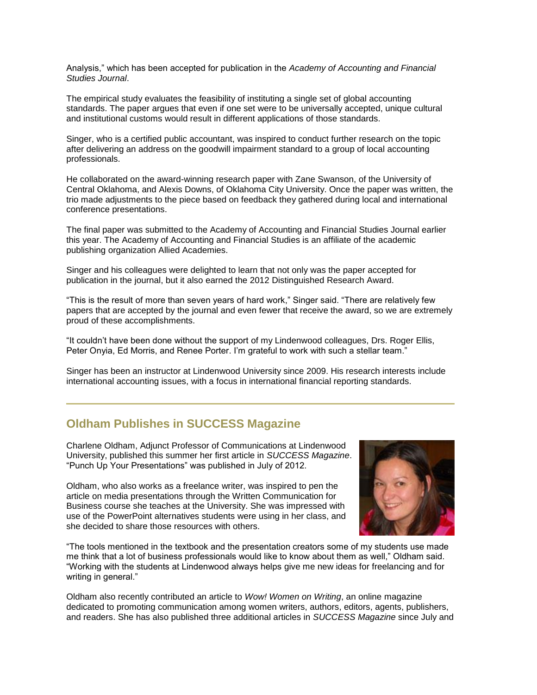Analysis," which has been accepted for publication in the *Academy of Accounting and Financial Studies Journal*.

The empirical study evaluates the feasibility of instituting a single set of global accounting standards. The paper argues that even if one set were to be universally accepted, unique cultural and institutional customs would result in different applications of those standards.

Singer, who is a certified public accountant, was inspired to conduct further research on the topic after delivering an address on the goodwill impairment standard to a group of local accounting professionals.

He collaborated on the award-winning research paper with Zane Swanson, of the University of Central Oklahoma, and Alexis Downs, of Oklahoma City University. Once the paper was written, the trio made adjustments to the piece based on feedback they gathered during local and international conference presentations.

The final paper was submitted to the Academy of Accounting and Financial Studies Journal earlier this year. The Academy of Accounting and Financial Studies is an affiliate of the academic publishing organization Allied Academies.

Singer and his colleagues were delighted to learn that not only was the paper accepted for publication in the journal, but it also earned the 2012 Distinguished Research Award.

"This is the result of more than seven years of hard work," Singer said. "There are relatively few papers that are accepted by the journal and even fewer that receive the award, so we are extremely proud of these accomplishments.

"It couldn't have been done without the support of my Lindenwood colleagues, Drs. Roger Ellis, Peter Onyia, Ed Morris, and Renee Porter. I'm grateful to work with such a stellar team."

Singer has been an instructor at Lindenwood University since 2009. His research interests include international accounting issues, with a focus in international financial reporting standards.

### **Oldham Publishes in SUCCESS Magazine**

Charlene Oldham, Adjunct Professor of Communications at Lindenwood University, published this summer her first article in *SUCCESS Magazine*. "Punch Up Your Presentations" was published in July of 2012.

Oldham, who also works as a freelance writer, was inspired to pen the article on media presentations through the Written Communication for Business course she teaches at the University. She was impressed with use of the PowerPoint alternatives students were using in her class, and she decided to share those resources with others.



"The tools mentioned in the textbook and the presentation creators some of my students use made me think that a lot of business professionals would like to know about them as well," Oldham said. "Working with the students at Lindenwood always helps give me new ideas for freelancing and for writing in general."

Oldham also recently contributed an article to *Wow! Women on Writing*, an online magazine dedicated to promoting communication among women writers, authors, editors, agents, publishers, and readers. She has also published three additional articles in *SUCCESS Magazine* since July and